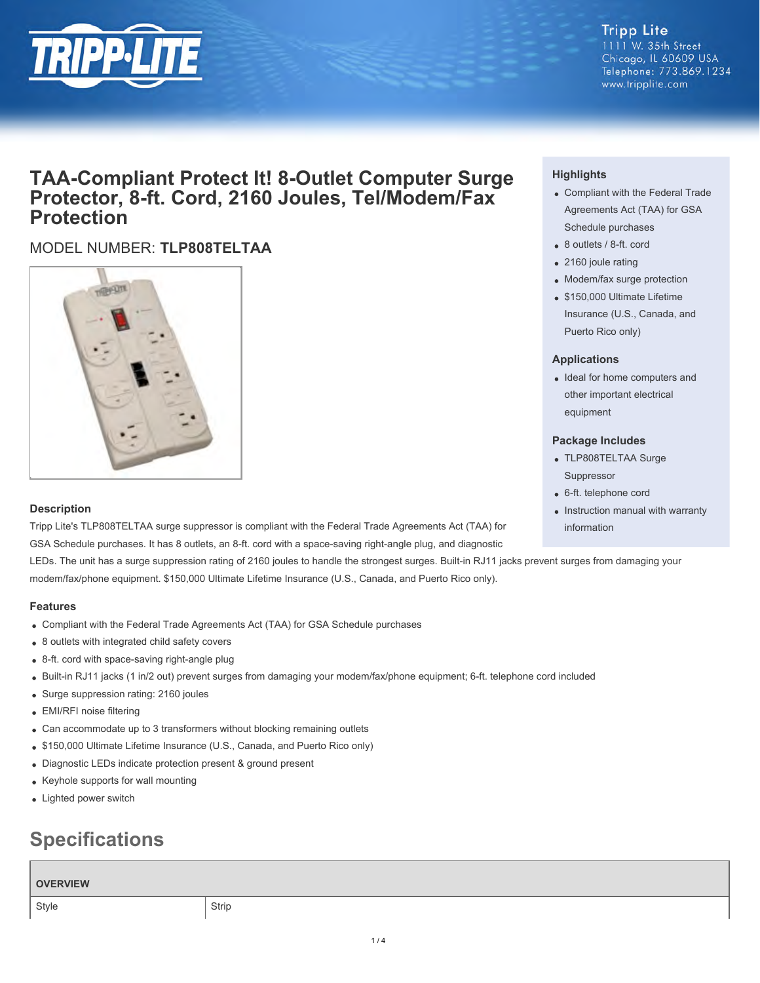

### **Tripp Lite** 1111 W. 35th Street Chicago, IL 60609 USA Telephone: 773.869.1234

www.tripplite.com

## **TAA-Compliant Protect It! 8-Outlet Computer Surge Protector, 8-ft. Cord, 2160 Joules, Tel/Modem/Fax Protection**

### MODEL NUMBER: **TLP808TELTAA**



### **Description**

Tripp Lite's TLP808TELTAA surge suppressor is compliant with the Federal Trade Agreements Act (TAA) for GSA Schedule purchases. It has 8 outlets, an 8-ft. cord with a space-saving right-angle plug, and diagnostic

LEDs. The unit has a surge suppression rating of 2160 joules to handle the strongest surges. Built-in RJ11 jacks prevent surges from damaging your modem/fax/phone equipment. \$150,000 Ultimate Lifetime Insurance (U.S., Canada, and Puerto Rico only).

### **Features**

- Compliant with the Federal Trade Agreements Act (TAA) for GSA Schedule purchases
- 8 outlets with integrated child safety covers
- 8-ft. cord with space-saving right-angle plug
- Built-in RJ11 jacks (1 in/2 out) prevent surges from damaging your modem/fax/phone equipment; 6-ft. telephone cord included
- Surge suppression rating: 2160 joules
- EMI/RFI noise filtering
- Can accommodate up to 3 transformers without blocking remaining outlets
- \$150,000 Ultimate Lifetime Insurance (U.S., Canada, and Puerto Rico only)
- Diagnostic LEDs indicate protection present & ground present
- Keyhole supports for wall mounting
- Lighted power switch

# **Specifications**

### **OVERVIEW**

### **Highlights**

- Compliant with the Federal Trade Agreements Act (TAA) for GSA Schedule purchases
- 8 outlets / 8-ft. cord
- 2160 joule rating
- Modem/fax surge protection
- \$150,000 Ultimate Lifetime Insurance (U.S., Canada, and Puerto Rico only)

### **Applications**

• Ideal for home computers and other important electrical equipment

### **Package Includes**

- TLP808TELTAA Surge Suppressor
- 6-ft. telephone cord
- Instruction manual with warranty information

 $1/4$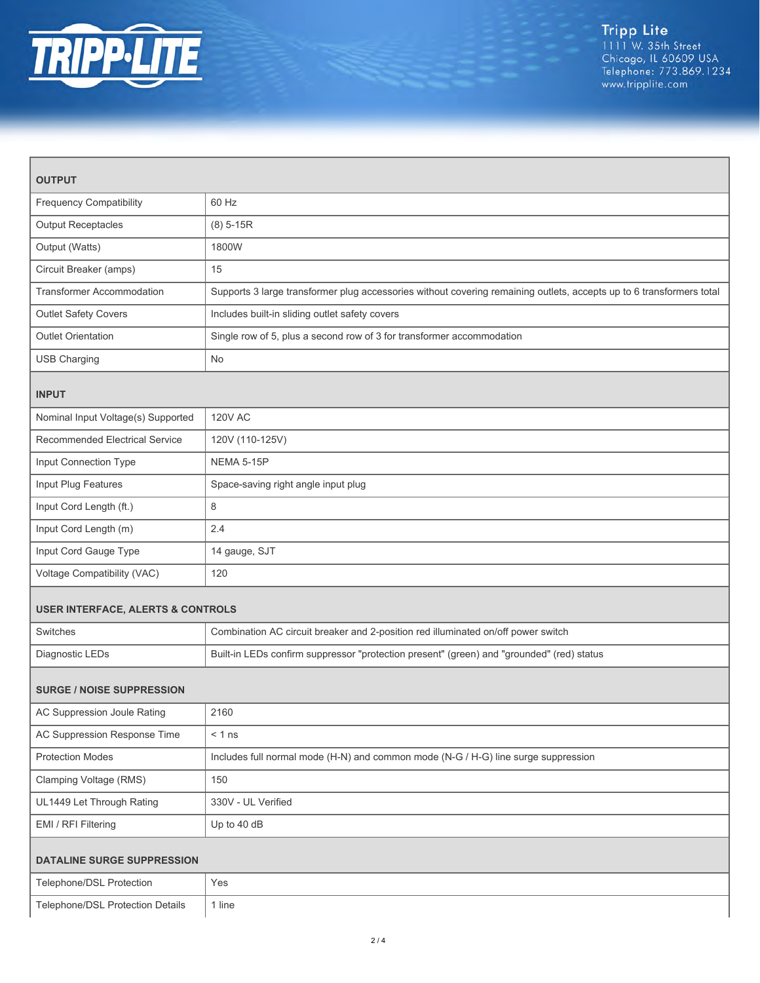

| <b>OUTPUT</b>                                |                                                                                                                      |  |
|----------------------------------------------|----------------------------------------------------------------------------------------------------------------------|--|
| <b>Frequency Compatibility</b>               | 60 Hz                                                                                                                |  |
| <b>Output Receptacles</b>                    | $(8) 5 - 15R$                                                                                                        |  |
| Output (Watts)                               | 1800W                                                                                                                |  |
| Circuit Breaker (amps)                       | 15                                                                                                                   |  |
| <b>Transformer Accommodation</b>             | Supports 3 large transformer plug accessories without covering remaining outlets, accepts up to 6 transformers total |  |
| Outlet Safety Covers                         | Includes built-in sliding outlet safety covers                                                                       |  |
| <b>Outlet Orientation</b>                    | Single row of 5, plus a second row of 3 for transformer accommodation                                                |  |
| <b>USB Charging</b>                          | No                                                                                                                   |  |
| <b>INPUT</b>                                 |                                                                                                                      |  |
| Nominal Input Voltage(s) Supported           | <b>120V AC</b>                                                                                                       |  |
| Recommended Electrical Service               | 120V (110-125V)                                                                                                      |  |
| Input Connection Type                        | NEMA 5-15P                                                                                                           |  |
| Input Plug Features                          | Space-saving right angle input plug                                                                                  |  |
| Input Cord Length (ft.)                      | 8                                                                                                                    |  |
| Input Cord Length (m)                        | 2.4                                                                                                                  |  |
| Input Cord Gauge Type                        | 14 gauge, SJT                                                                                                        |  |
| Voltage Compatibility (VAC)                  | 120                                                                                                                  |  |
| <b>USER INTERFACE, ALERTS &amp; CONTROLS</b> |                                                                                                                      |  |
| Switches                                     | Combination AC circuit breaker and 2-position red illuminated on/off power switch                                    |  |
| Diagnostic LEDs                              | Built-in LEDs confirm suppressor "protection present" (green) and "grounded" (red) status                            |  |
| <b>SURGE / NOISE SUPPRESSION</b>             |                                                                                                                      |  |
| AC Suppression Joule Rating                  | 2160                                                                                                                 |  |
| AC Suppression Response Time                 | $< 1$ ns                                                                                                             |  |
| <b>Protection Modes</b>                      | Includes full normal mode (H-N) and common mode (N-G / H-G) line surge suppression                                   |  |
| Clamping Voltage (RMS)                       | 150                                                                                                                  |  |
| UL1449 Let Through Rating                    | 330V - UL Verified                                                                                                   |  |
| EMI / RFI Filtering                          | Up to 40 dB                                                                                                          |  |
| <b>DATALINE SURGE SUPPRESSION</b>            |                                                                                                                      |  |
| Telephone/DSL Protection                     | Yes                                                                                                                  |  |
| Telephone/DSL Protection Details             | 1 line                                                                                                               |  |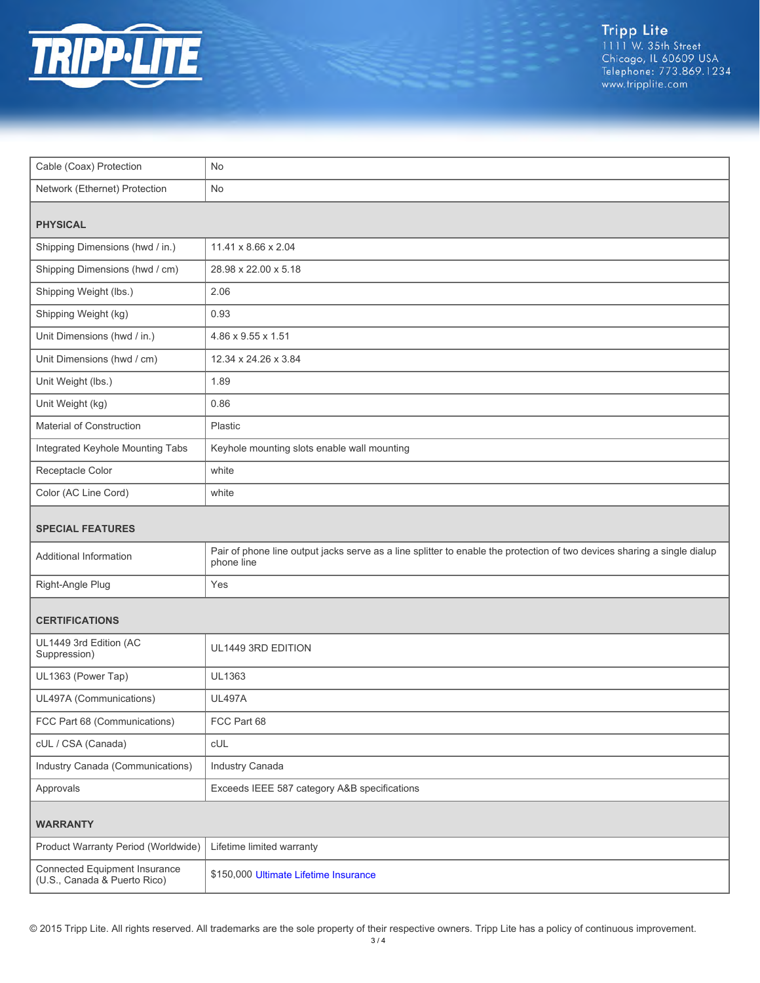

| Cable (Coax) Protection                                       | No                                                                                                                                     |  |
|---------------------------------------------------------------|----------------------------------------------------------------------------------------------------------------------------------------|--|
| Network (Ethernet) Protection                                 | No                                                                                                                                     |  |
| <b>PHYSICAL</b>                                               |                                                                                                                                        |  |
| Shipping Dimensions (hwd / in.)                               | 11.41 x 8.66 x 2.04                                                                                                                    |  |
| Shipping Dimensions (hwd / cm)                                | 28.98 x 22.00 x 5.18                                                                                                                   |  |
| Shipping Weight (lbs.)                                        | 2.06                                                                                                                                   |  |
| Shipping Weight (kg)                                          | 0.93                                                                                                                                   |  |
| Unit Dimensions (hwd / in.)                                   | 4.86 x 9.55 x 1.51                                                                                                                     |  |
| Unit Dimensions (hwd / cm)                                    | 12.34 x 24.26 x 3.84                                                                                                                   |  |
| Unit Weight (lbs.)                                            | 1.89                                                                                                                                   |  |
| Unit Weight (kg)                                              | 0.86                                                                                                                                   |  |
| Material of Construction                                      | Plastic                                                                                                                                |  |
| Integrated Keyhole Mounting Tabs                              | Keyhole mounting slots enable wall mounting                                                                                            |  |
| Receptacle Color                                              | white                                                                                                                                  |  |
| Color (AC Line Cord)                                          | white                                                                                                                                  |  |
| <b>SPECIAL FEATURES</b>                                       |                                                                                                                                        |  |
| Additional Information                                        | Pair of phone line output jacks serve as a line splitter to enable the protection of two devices sharing a single dialup<br>phone line |  |
| Right-Angle Plug                                              | Yes                                                                                                                                    |  |
| <b>CERTIFICATIONS</b>                                         |                                                                                                                                        |  |
| UL1449 3rd Edition (AC<br>Suppression)                        | UL1449 3RD EDITION                                                                                                                     |  |
| UL1363 (Power Tap)                                            | UL1363                                                                                                                                 |  |
| UL497A (Communications)                                       | <b>UL497A</b>                                                                                                                          |  |
| FCC Part 68 (Communications)                                  | FCC Part 68                                                                                                                            |  |
| cUL / CSA (Canada)                                            | <b>CUL</b>                                                                                                                             |  |
| Industry Canada (Communications)                              | Industry Canada                                                                                                                        |  |
| Approvals                                                     | Exceeds IEEE 587 category A&B specifications                                                                                           |  |
| <b>WARRANTY</b>                                               |                                                                                                                                        |  |
| Product Warranty Period (Worldwide)                           | Lifetime limited warranty                                                                                                              |  |
| Connected Equipment Insurance<br>(U.S., Canada & Puerto Rico) | \$150,000 Ultimate Lifetime Insurance                                                                                                  |  |

© 2015 Tripp Lite. All rights reserved. All trademarks are the sole property of their respective owners. Tripp Lite has a policy of continuous improvement.